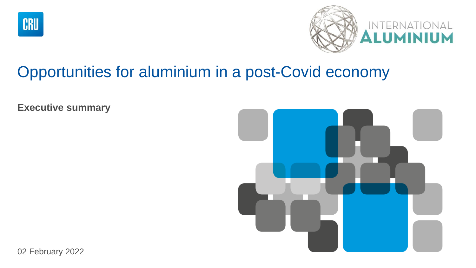



# Opportunities for aluminium in a post-Covid economy

**Executive summary**



02 February 2022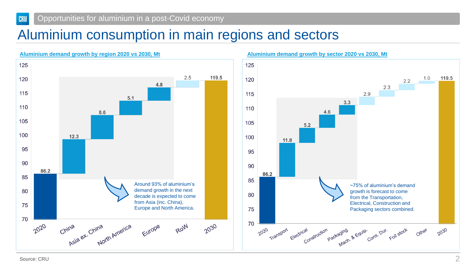#### Opportunities for aluminium in a post-Covid economy CRU

## Aluminium consumption in main regions and sectors



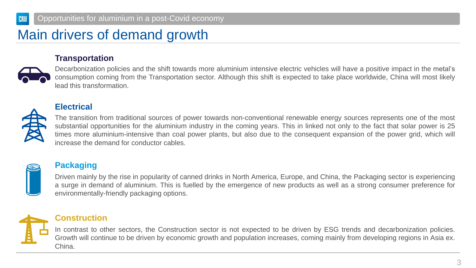### Main drivers of demand growth

#### **Transportation**



Decarbonization policies and the shift towards more aluminium intensive electric vehicles will have a positive impact in the metal's consumption coming from the Transportation sector. Although this shift is expected to take place worldwide, China will most likely lead this transformation.



### **Electrical**

The transition from traditional sources of power towards non-conventional renewable energy sources represents one of the most substantial opportunities for the aluminium industry in the coming years. This in linked not only to the fact that solar power is 25 times more aluminium-intensive than coal power plants, but also due to the consequent expansion of the power grid, which will increase the demand for conductor cables.



### **Packaging**

Driven mainly by the rise in popularity of canned drinks in North America, Europe, and China, the Packaging sector is experiencing a surge in demand of aluminium. This is fuelled by the emergence of new products as well as a strong consumer preference for environmentally-friendly packaging options.



### **Construction**

In contrast to other sectors, the Construction sector is not expected to be driven by ESG trends and decarbonization policies. Growth will continue to be driven by economic growth and population increases, coming mainly from developing regions in Asia ex. China.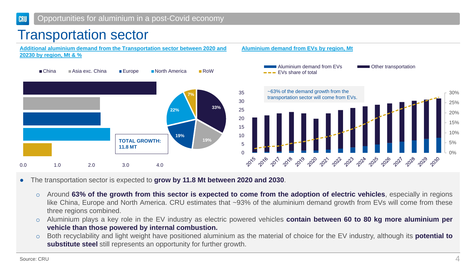## Transportation sector



- The transportation sector is expected to **grow by 11.8 Mt between 2020 and 2030**.
	- o Around 63% of the growth from this sector is expected to come from the adoption of electric vehicles, especially in regions like China, Europe and North America. CRU estimates that ~93% of the aluminium demand growth from EVs will come from these three regions combined.
	- o Aluminium plays a key role in the EV industry as electric powered vehicles **contain between 60 to 80 kg more aluminium per vehicle than those powered by internal combustion.**
	- o Both recyclability and light weight have positioned aluminium as the material of choice for the EV industry, although its **potential to substitute steel** still represents an opportunity for further growth.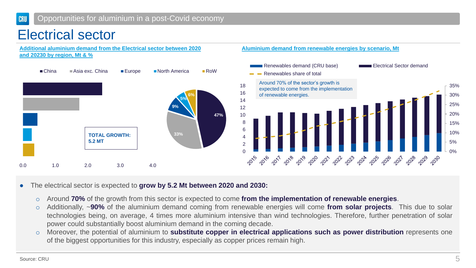### Electrical sector

**Additional aluminium demand from the Electrical sector between 2020 and 20230 by region, Mt & %**



#### **Aluminium demand from renewable energies by scenario, Mt**



● The electrical sector is expected to **grow by 5.2 Mt between 2020 and 2030:**

- o Around **70%** of the growth from this sector is expected to come **from the implementation of renewable energies**.
- o Additionally, ~**90%** of the aluminium demand coming from renewable energies will come **from solar projects**. This due to solar technologies being, on average, 4 times more aluminium intensive than wind technologies. Therefore, further penetration of solar power could substantially boost aluminium demand in the coming decade.
- o Moreover, the potential of aluminium to **substitute copper in electrical applications such as power distribution** represents one of the biggest opportunities for this industry, especially as copper prices remain high.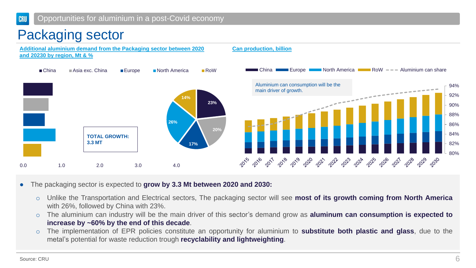## Packaging sector



- The packaging sector is expected to **grow by 3.3 Mt between 2020 and 2030:**
	- o Unlike the Transportation and Electrical sectors, The packaging sector will see **most of its growth coming from North America** with 26%, followed by China with 23%.
	- o The aluminium can industry will be the main driver of this sector's demand grow as **aluminum can consumption is expected to increase by ~60% by the end of this decade**.
	- o The implementation of EPR policies constitute an opportunity for aluminium to **substitute both plastic and glass**, due to the metal's potential for waste reduction trough **recyclability and lightweighting**.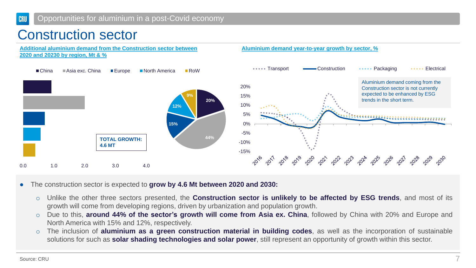## Construction sector



- The construction sector is expected to **grow by 4.6 Mt between 2020 and 2030:**
	- o Unlike the other three sectors presented, the **Construction sector is unlikely to be affected by ESG trends**, and most of its growth will come from developing regions, driven by urbanization and population growth.
	- o Due to this, **around 44% of the sector's growth will come from Asia ex. China**, followed by China with 20% and Europe and North America with 15% and 12%, respectively.
	- o The inclusion of **aluminium as a green construction material in building codes**, as well as the incorporation of sustainable solutions for such as **solar shading technologies and solar power**, still represent an opportunity of growth within this sector.